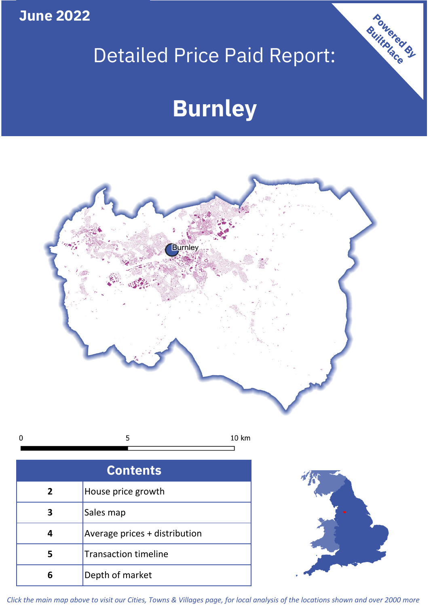**June 2022**

# Detailed Price Paid Report:

# **Burnley**



| <b>Contents</b> |                               |  |  |
|-----------------|-------------------------------|--|--|
| $\overline{2}$  | House price growth            |  |  |
| 3               | Sales map                     |  |  |
|                 | Average prices + distribution |  |  |
|                 | <b>Transaction timeline</b>   |  |  |
|                 | Depth of market               |  |  |



Powered By

*Click the main map above to visit our Cities, Towns & Villages page, for local analysis of the locations shown and over 2000 more*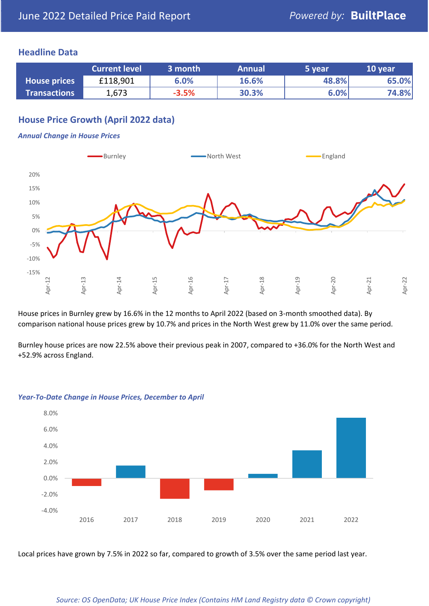## **Headline Data**

|                     | <b>Current level</b> | 3 month | <b>Annual</b> | 5 year | 10 year |
|---------------------|----------------------|---------|---------------|--------|---------|
| <b>House prices</b> | £118,901             | 6.0%    | 16.6%         | 48.8%  | 65.0%   |
| <b>Transactions</b> | 1,673                | $-3.5%$ | 30.3%         | 6.0%   | 74.8%   |

## **House Price Growth (April 2022 data)**

#### *Annual Change in House Prices*



House prices in Burnley grew by 16.6% in the 12 months to April 2022 (based on 3-month smoothed data). By comparison national house prices grew by 10.7% and prices in the North West grew by 11.0% over the same period.

Burnley house prices are now 22.5% above their previous peak in 2007, compared to +36.0% for the North West and +52.9% across England.



#### *Year-To-Date Change in House Prices, December to April*

Local prices have grown by 7.5% in 2022 so far, compared to growth of 3.5% over the same period last year.

#### *Source: OS OpenData; UK House Price Index (Contains HM Land Registry data © Crown copyright)*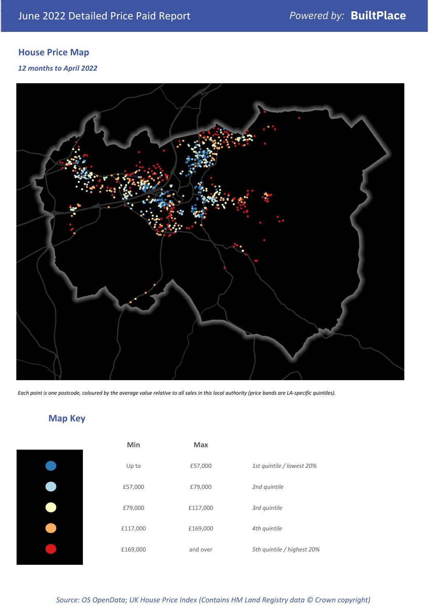# **House Price Map**

### *12 months to April 2022*



*Each point is one postcode, coloured by the average value relative to all sales in this local authority (price bands are LA-specific quintiles).*

# **Map Key**

| Min      | <b>Max</b> |                            |
|----------|------------|----------------------------|
| Up to    | £57,000    | 1st quintile / lowest 20%  |
| £57,000  | £79,000    | 2nd quintile               |
| £79,000  | £117,000   | 3rd quintile               |
| £117,000 | £169,000   | 4th quintile               |
| £169,000 | and over   | 5th quintile / highest 20% |

*Source: OS OpenData; UK House Price Index (Contains HM Land Registry data © Crown copyright)*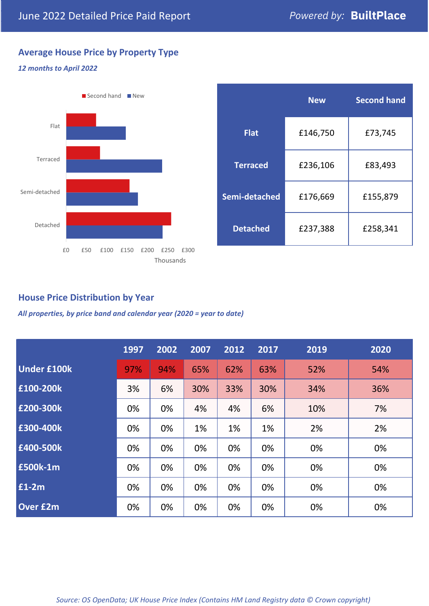# **Average House Price by Property Type**

#### *12 months to April 2022*



|                 | <b>New</b> | <b>Second hand</b> |  |  |
|-----------------|------------|--------------------|--|--|
| <b>Flat</b>     | £146,750   | £73,745            |  |  |
| <b>Terraced</b> | £236,106   | £83,493            |  |  |
| Semi-detached   | £176,669   | £155,879           |  |  |
| <b>Detached</b> | £237,388   | £258,341           |  |  |

## **House Price Distribution by Year**

*All properties, by price band and calendar year (2020 = year to date)*

|                    | 1997 | 2002 | 2007 | 2012 | 2017 | 2019 | 2020 |
|--------------------|------|------|------|------|------|------|------|
| <b>Under £100k</b> | 97%  | 94%  | 65%  | 62%  | 63%  | 52%  | 54%  |
| £100-200k          | 3%   | 6%   | 30%  | 33%  | 30%  | 34%  | 36%  |
| £200-300k          | 0%   | 0%   | 4%   | 4%   | 6%   | 10%  | 7%   |
| £300-400k          | 0%   | 0%   | 1%   | 1%   | 1%   | 2%   | 2%   |
| £400-500k          | 0%   | 0%   | 0%   | 0%   | 0%   | 0%   | 0%   |
| <b>£500k-1m</b>    | 0%   | 0%   | 0%   | 0%   | 0%   | 0%   | 0%   |
| £1-2m              | 0%   | 0%   | 0%   | 0%   | 0%   | 0%   | 0%   |
| <b>Over £2m</b>    | 0%   | 0%   | 0%   | 0%   | 0%   | 0%   | 0%   |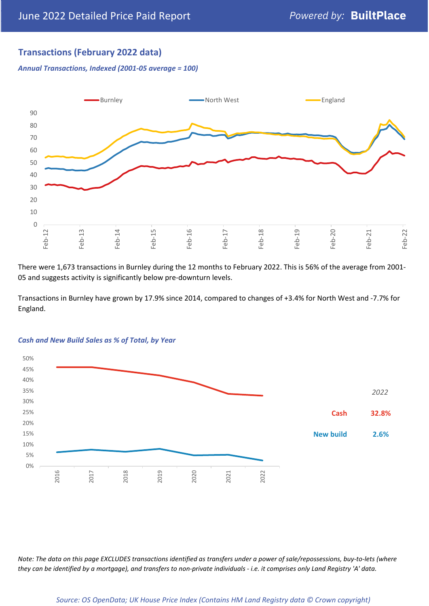# **Transactions (February 2022 data)**

*Annual Transactions, Indexed (2001-05 average = 100)*



There were 1,673 transactions in Burnley during the 12 months to February 2022. This is 56% of the average from 2001- 05 and suggests activity is significantly below pre-downturn levels.

Transactions in Burnley have grown by 17.9% since 2014, compared to changes of +3.4% for North West and -7.7% for England.



#### *Cash and New Build Sales as % of Total, by Year*

*Note: The data on this page EXCLUDES transactions identified as transfers under a power of sale/repossessions, buy-to-lets (where they can be identified by a mortgage), and transfers to non-private individuals - i.e. it comprises only Land Registry 'A' data.*